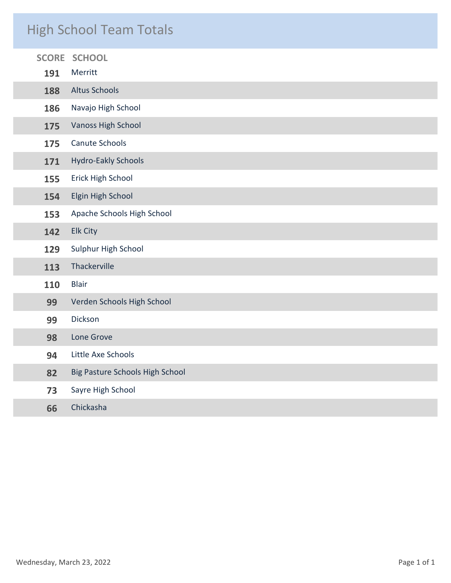### High School Team Totals

| <b>SCORE</b> | <b>SCHOOL</b>                   |
|--------------|---------------------------------|
| 191          | Merritt                         |
| 188          | <b>Altus Schools</b>            |
| 186          | Navajo High School              |
| 175          | <b>Vanoss High School</b>       |
| 175          | Canute Schools                  |
| 171          | <b>Hydro-Eakly Schools</b>      |
| 155          | Erick High School               |
| 154          | Elgin High School               |
| 153          | Apache Schools High School      |
| 142          | <b>Elk City</b>                 |
| 129          | Sulphur High School             |
| 113          | Thackerville                    |
| 110          | <b>Blair</b>                    |
| 99           | Verden Schools High School      |
| 99           | Dickson                         |
| 98           | Lone Grove                      |
| 94           | Little Axe Schools              |
| 82           | Big Pasture Schools High School |
| 73           | Sayre High School               |
| 66           | Chickasha                       |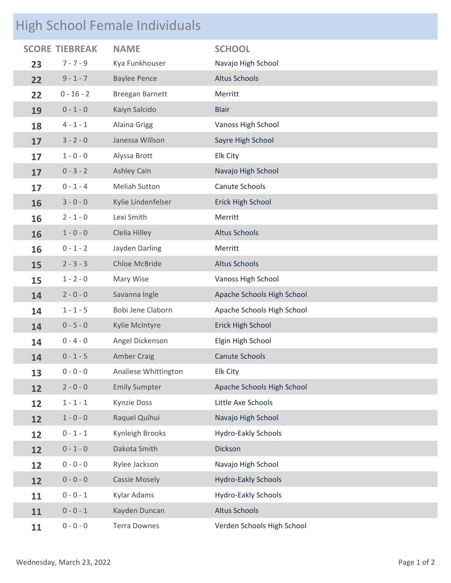# High School Female Individuals

| <b>SCORE</b> | <b>TIEBREAK</b> | <b>NAME</b>            | <b>SCHOOL</b>              |
|--------------|-----------------|------------------------|----------------------------|
| 23           | $7 - 7 - 9$     | Kya Funkhouser         | Navajo High School         |
| 22           | $9 - 1 - 7$     | <b>Baylee Pence</b>    | <b>Altus Schools</b>       |
| 22           | $0 - 16 - 2$    | <b>Breegan Barnett</b> | Merritt                    |
| 19           | $0 - 1 - 0$     | Kaiyn Salcido          | <b>Blair</b>               |
| 18           | $4 - 1 - 1$     | <b>Alaina Grigg</b>    | Vanoss High School         |
| 17           | $3 - 2 - 0$     | Janessa Willson        | Sayre High School          |
| 17           | $1 - 0 - 0$     | Alyssa Brott           | <b>Elk City</b>            |
| 17           | $0 - 3 - 2$     | <b>Ashley Cain</b>     | Navajo High School         |
| 17           | $0 - 1 - 4$     | <b>Meliah Sutton</b>   | Canute Schools             |
| 16           | $3 - 0 - 0$     | Kylie Lindenfelser     | Erick High School          |
| 16           | $2 - 1 - 0$     | Lexi Smith             | Merritt                    |
| 16           | $1 - 0 - 0$     | Clelia Hilley          | <b>Altus Schools</b>       |
| 16           | $0 - 1 - 2$     | Jayden Darling         | Merritt                    |
| 15           | $2 - 3 - 3$     | <b>Chloe McBride</b>   | <b>Altus Schools</b>       |
| 15           | $1 - 2 - 0$     | Mary Wise              | Vanoss High School         |
| 14           | $2 - 0 - 0$     | Savanna Ingle          | Apache Schools High School |
| 14           | $1 - 1 - 5$     | Bobi Jene Claborn      | Apache Schools High School |
| 14           | $0 - 5 - 0$     | Kylie McIntyre         | Erick High School          |
| 14           | $0 - 4 - 0$     | Angel Dickenson        | Elgin High School          |
| 14           | $0 - 1 - 5$     | <b>Amber Craig</b>     | <b>Canute Schools</b>      |
| 13           | $0 - 0 - 0$     | Analiese Whittington   | <b>Elk City</b>            |
| 12           | $2 - 0 - 0$     | <b>Emily Sumpter</b>   | Apache Schools High School |
| 12           | $1 - 1 - 1$     | <b>Kynzie Doss</b>     | Little Axe Schools         |
| 12           | $1 - 0 - 0$     | Raquel Quihui          | Navajo High School         |
| 12           | $0 - 1 - 1$     | Kynleigh Brooks        | <b>Hydro-Eakly Schools</b> |
| 12           | $0 - 1 - 0$     | Dakota Smith           | Dickson                    |
| 12           | $0 - 0 - 0$     | Rylee Jackson          | Navajo High School         |
| 12           | $0 - 0 - 0$     | <b>Cassie Mosely</b>   | <b>Hydro-Eakly Schools</b> |
| 11           | $0 - 0 - 1$     | Kylar Adams            | <b>Hydro-Eakly Schools</b> |
| 11           | $0 - 0 - 1$     | Kayden Duncan          | <b>Altus Schools</b>       |
| 11           | $0 - 0 - 0$     | <b>Terra Downes</b>    | Verden Schools High School |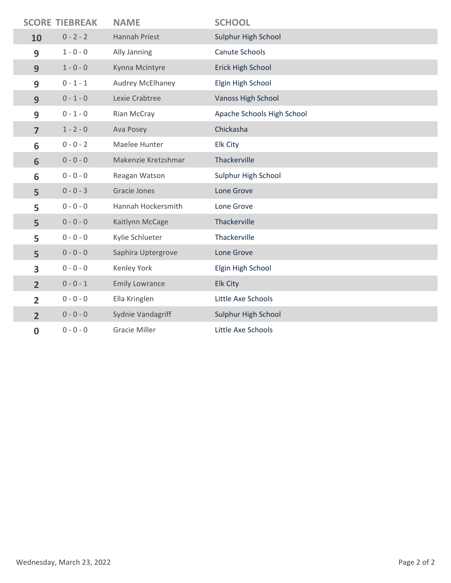|                | <b>SCORE TIEBREAK</b> | <b>NAME</b>           | <b>SCHOOL</b>              |
|----------------|-----------------------|-----------------------|----------------------------|
| 10             | $0 - 2 - 2$           | Hannah Priest         | Sulphur High School        |
| 9              | $1 - 0 - 0$           | Ally Janning          | Canute Schools             |
| 9              | $1 - 0 - 0$           | Kynna McIntyre        | Erick High School          |
| 9              | $0 - 1 - 1$           | Audrey McElhaney      | Elgin High School          |
| 9              | $0 - 1 - 0$           | Lexie Crabtree        | <b>Vanoss High School</b>  |
| 9              | $0 - 1 - 0$           | Rian McCray           | Apache Schools High School |
| $\overline{7}$ | $1 - 2 - 0$           | Ava Posey             | Chickasha                  |
| 6              | $0 - 0 - 2$           | Maelee Hunter         | <b>Elk City</b>            |
| 6              | $0 - 0 - 0$           | Makenzie Kretzshmar   | Thackerville               |
| 6              | $0 - 0 - 0$           | Reagan Watson         | Sulphur High School        |
| 5              | $0 - 0 - 3$           | Gracie Jones          | Lone Grove                 |
| 5              | $0 - 0 - 0$           | Hannah Hockersmith    | Lone Grove                 |
| 5              | $0 - 0 - 0$           | Kaitlynn McCage       | Thackerville               |
| 5              | $0 - 0 - 0$           | Kylie Schlueter       | Thackerville               |
| 5              | $0 - 0 - 0$           | Saphira Uptergrove    | Lone Grove                 |
| 3              | $0 - 0 - 0$           | Kenley York           | Elgin High School          |
| $\overline{2}$ | $0 - 0 - 1$           | <b>Emily Lowrance</b> | <b>Elk City</b>            |
| $\overline{2}$ | $0 - 0 - 0$           | Ella Kringlen         | Little Axe Schools         |
| $\overline{2}$ | $0 - 0 - 0$           | Sydnie Vandagriff     | Sulphur High School        |
| $\bf{0}$       | $0 - 0 - 0$           | <b>Gracie Miller</b>  | Little Axe Schools         |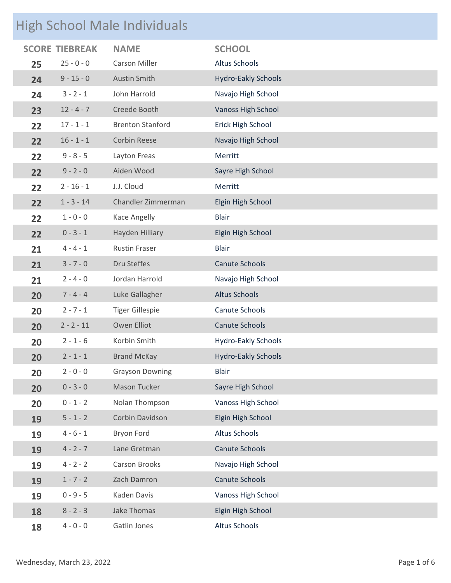### High School Male Individuals

|    | <b>SCORE TIEBREAK</b> | <b>NAME</b>             | <b>SCHOOL</b>              |
|----|-----------------------|-------------------------|----------------------------|
| 25 | $25 - 0 - 0$          | <b>Carson Miller</b>    | Altus Schools              |
| 24 | $9 - 15 - 0$          | <b>Austin Smith</b>     | <b>Hydro-Eakly Schools</b> |
| 24 | $3 - 2 - 1$           | John Harrold            | Navajo High School         |
| 23 | $12 - 4 - 7$          | Creede Booth            | <b>Vanoss High School</b>  |
| 22 | $17 - 1 - 1$          | <b>Brenton Stanford</b> | Erick High School          |
| 22 | $16 - 1 - 1$          | <b>Corbin Reese</b>     | Navajo High School         |
| 22 | $9 - 8 - 5$           | Layton Freas            | Merritt                    |
| 22 | $9 - 2 - 0$           | Aiden Wood              | Sayre High School          |
| 22 | $2 - 16 - 1$          | J.J. Cloud              | Merritt                    |
| 22 | $1 - 3 - 14$          | Chandler Zimmerman      | Elgin High School          |
| 22 | $1 - 0 - 0$           | Kace Angelly            | <b>Blair</b>               |
| 22 | $0 - 3 - 1$           | Hayden Hilliary         | Elgin High School          |
| 21 | $4 - 4 - 1$           | <b>Rustin Fraser</b>    | <b>Blair</b>               |
| 21 | $3 - 7 - 0$           | Dru Steffes             | Canute Schools             |
| 21 | $2 - 4 - 0$           | Jordan Harrold          | Navajo High School         |
| 20 | $7 - 4 - 4$           | Luke Gallagher          | <b>Altus Schools</b>       |
| 20 | $2 - 7 - 1$           | <b>Tiger Gillespie</b>  | Canute Schools             |
| 20 | $2 - 2 - 11$          | Owen Elliot             | <b>Canute Schools</b>      |
| 20 | $2 - 1 - 6$           | Korbin Smith            | <b>Hydro-Eakly Schools</b> |
| 20 | $2 - 1 - 1$           | <b>Brand McKay</b>      | <b>Hydro-Eakly Schools</b> |
| 20 | $2 - 0 - 0$           | <b>Grayson Downing</b>  | <b>Blair</b>               |
| 20 | $0 - 3 - 0$           | Mason Tucker            | Sayre High School          |
| 20 | $0 - 1 - 2$           | Nolan Thompson          | Vanoss High School         |
| 19 | $5 - 1 - 2$           | Corbin Davidson         | Elgin High School          |
| 19 | $4 - 6 - 1$           | Bryon Ford              | Altus Schools              |
| 19 | $4 - 2 - 7$           | Lane Gretman            | Canute Schools             |
| 19 | $4 - 2 - 2$           | <b>Carson Brooks</b>    | Navajo High School         |
| 19 | $1 - 7 - 2$           | Zach Damron             | <b>Canute Schools</b>      |
| 19 | $0 - 9 - 5$           | Kaden Davis             | Vanoss High School         |
| 18 | $8 - 2 - 3$           | Jake Thomas             | Elgin High School          |
| 18 | $4 - 0 - 0$           | Gatlin Jones            | Altus Schools              |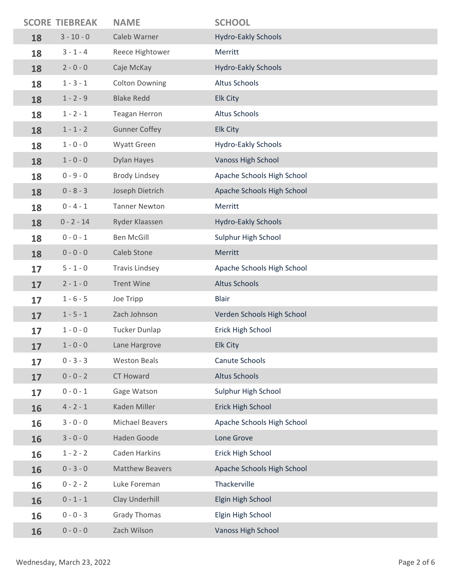|    | <b>SCORE TIEBREAK</b> | <b>NAME</b>            | <b>SCHOOL</b>              |
|----|-----------------------|------------------------|----------------------------|
| 18 | $3 - 10 - 0$          | Caleb Warner           | <b>Hydro-Eakly Schools</b> |
| 18 | $3 - 1 - 4$           | Reece Hightower        | Merritt                    |
| 18 | $2 - 0 - 0$           | Caje McKay             | <b>Hydro-Eakly Schools</b> |
| 18 | $1 - 3 - 1$           | <b>Colton Downing</b>  | <b>Altus Schools</b>       |
| 18 | $1 - 2 - 9$           | <b>Blake Redd</b>      | <b>Elk City</b>            |
| 18 | $1 - 2 - 1$           | <b>Teagan Herron</b>   | <b>Altus Schools</b>       |
| 18 | $1 - 1 - 2$           | <b>Gunner Coffey</b>   | <b>Elk City</b>            |
| 18 | $1 - 0 - 0$           | Wyatt Green            | <b>Hydro-Eakly Schools</b> |
| 18 | $1 - 0 - 0$           | <b>Dylan Hayes</b>     | <b>Vanoss High School</b>  |
| 18 | $0 - 9 - 0$           | <b>Brody Lindsey</b>   | Apache Schools High School |
| 18 | $0 - 8 - 3$           | Joseph Dietrich        | Apache Schools High School |
| 18 | $0 - 4 - 1$           | <b>Tanner Newton</b>   | Merritt                    |
| 18 | $0 - 2 - 14$          | Ryder Klaassen         | <b>Hydro-Eakly Schools</b> |
| 18 | $0 - 0 - 1$           | <b>Ben McGill</b>      | Sulphur High School        |
| 18 | $0 - 0 - 0$           | Caleb Stone            | Merritt                    |
| 17 | $5 - 1 - 0$           | <b>Travis Lindsey</b>  | Apache Schools High School |
| 17 | $2 - 1 - 0$           | <b>Trent Wine</b>      | <b>Altus Schools</b>       |
| 17 | $1 - 6 - 5$           | Joe Tripp              | <b>Blair</b>               |
| 17 | $1 - 5 - 1$           | Zach Johnson           | Verden Schools High School |
| 17 | $1 - 0 - 0$           | <b>Tucker Dunlap</b>   | Erick High School          |
| 17 | $1 - 0 - 0$           | Lane Hargrove          | <b>Elk City</b>            |
| 17 | $0 - 3 - 3$           | <b>Weston Beals</b>    | Canute Schools             |
| 17 | $0 - 0 - 2$           | <b>CT Howard</b>       | <b>Altus Schools</b>       |
| 17 | $0 - 0 - 1$           | Gage Watson            | Sulphur High School        |
| 16 | $4 - 2 - 1$           | Kaden Miller           | Erick High School          |
| 16 | $3 - 0 - 0$           | <b>Michael Beavers</b> | Apache Schools High School |
| 16 | $3 - 0 - 0$           | Haden Goode            | Lone Grove                 |
| 16 | $1 - 2 - 2$           | Caden Harkins          | Erick High School          |
| 16 | $0 - 3 - 0$           | <b>Matthew Beavers</b> | Apache Schools High School |
| 16 | $0 - 2 - 2$           | Luke Foreman           | Thackerville               |
| 16 | $0 - 1 - 1$           | Clay Underhill         | Elgin High School          |
| 16 | $0 - 0 - 3$           | <b>Grady Thomas</b>    | Elgin High School          |
| 16 | $0 - 0 - 0$           | Zach Wilson            | <b>Vanoss High School</b>  |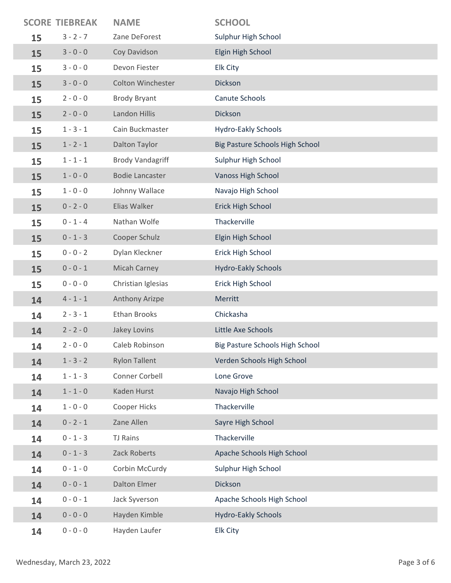|    | <b>SCORE TIEBREAK</b> | <b>NAME</b>             | <b>SCHOOL</b>                   |
|----|-----------------------|-------------------------|---------------------------------|
| 15 | $3 - 2 - 7$           | Zane DeForest           | Sulphur High School             |
| 15 | $3 - 0 - 0$           | Coy Davidson            | Elgin High School               |
| 15 | $3 - 0 - 0$           | Devon Fiester           | Elk City                        |
| 15 | $3 - 0 - 0$           | Colton Winchester       | Dickson                         |
| 15 | $2 - 0 - 0$           | <b>Brody Bryant</b>     | Canute Schools                  |
| 15 | $2 - 0 - 0$           | Landon Hillis           | Dickson                         |
| 15 | $1 - 3 - 1$           | Cain Buckmaster         | Hydro-Eakly Schools             |
| 15 | $1 - 2 - 1$           | Dalton Taylor           | Big Pasture Schools High School |
| 15 | $1 - 1 - 1$           | <b>Brody Vandagriff</b> | Sulphur High School             |
| 15 | $1 - 0 - 0$           | <b>Bodie Lancaster</b>  | <b>Vanoss High School</b>       |
| 15 | $1 - 0 - 0$           | Johnny Wallace          | Navajo High School              |
| 15 | $0 - 2 - 0$           | Elias Walker            | Erick High School               |
| 15 | $0 - 1 - 4$           | Nathan Wolfe            | Thackerville                    |
| 15 | $0 - 1 - 3$           | Cooper Schulz           | Elgin High School               |
| 15 | $0 - 0 - 2$           | Dylan Kleckner          | Erick High School               |
| 15 | $0 - 0 - 1$           | <b>Micah Carney</b>     | <b>Hydro-Eakly Schools</b>      |
| 15 | $0 - 0 - 0$           | Christian Iglesias      | Erick High School               |
| 14 | $4 - 1 - 1$           | Anthony Arizpe          | Merritt                         |
| 14 | $2 - 3 - 1$           | <b>Ethan Brooks</b>     | Chickasha                       |
| 14 | $2 - 2 - 0$           | Jakey Lovins            | Little Axe Schools              |
| 14 | $2 - 0 - 0$           | Caleb Robinson          | Big Pasture Schools High School |
| 14 | $1 - 3 - 2$           | <b>Rylon Tallent</b>    | Verden Schools High School      |
| 14 | $1 - 1 - 3$           | Conner Corbell          | Lone Grove                      |
| 14 | $1 - 1 - 0$           | Kaden Hurst             | Navajo High School              |
| 14 | $1 - 0 - 0$           | Cooper Hicks            | Thackerville                    |
| 14 | $0 - 2 - 1$           | Zane Allen              | Sayre High School               |
| 14 | $0 - 1 - 3$           | <b>TJ Rains</b>         | Thackerville                    |
| 14 | $0 - 1 - 3$           | Zack Roberts            | Apache Schools High School      |
| 14 | $0 - 1 - 0$           | Corbin McCurdy          | Sulphur High School             |
| 14 | $0 - 0 - 1$           | <b>Dalton Elmer</b>     | Dickson                         |
| 14 | $0 - 0 - 1$           | Jack Syverson           | Apache Schools High School      |
| 14 | $0 - 0 - 0$           | Hayden Kimble           | <b>Hydro-Eakly Schools</b>      |
| 14 | $0 - 0 - 0$           | Hayden Laufer           | Elk City                        |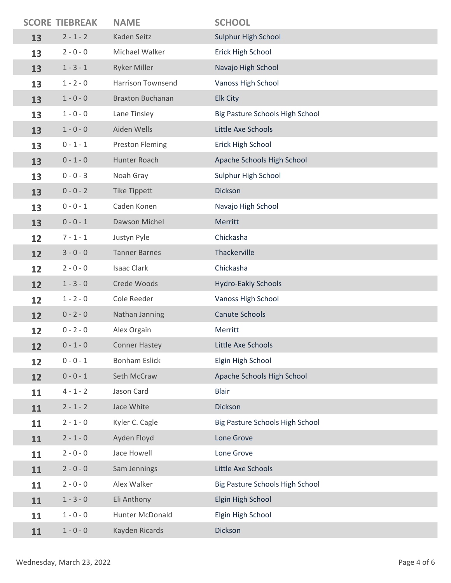|    | <b>SCORE TIEBREAK</b> | <b>NAME</b>              | <b>SCHOOL</b>                   |
|----|-----------------------|--------------------------|---------------------------------|
| 13 | $2 - 1 - 2$           | Kaden Seitz              | Sulphur High School             |
| 13 | $2 - 0 - 0$           | Michael Walker           | Erick High School               |
| 13 | $1 - 3 - 1$           | <b>Ryker Miller</b>      | Navajo High School              |
| 13 | $1 - 2 - 0$           | <b>Harrison Townsend</b> | Vanoss High School              |
| 13 | $1 - 0 - 0$           | <b>Braxton Buchanan</b>  | <b>Elk City</b>                 |
| 13 | $1 - 0 - 0$           | Lane Tinsley             | Big Pasture Schools High School |
| 13 | $1 - 0 - 0$           | Aiden Wells              | Little Axe Schools              |
| 13 | $0 - 1 - 1$           | <b>Preston Fleming</b>   | Erick High School               |
| 13 | $0 - 1 - 0$           | Hunter Roach             | Apache Schools High School      |
| 13 | $0 - 0 - 3$           | Noah Gray                | Sulphur High School             |
| 13 | $0 - 0 - 2$           | <b>Tike Tippett</b>      | Dickson                         |
| 13 | $0 - 0 - 1$           | Caden Konen              | Navajo High School              |
| 13 | $0 - 0 - 1$           | Dawson Michel            | Merritt                         |
| 12 | $7 - 1 - 1$           | Justyn Pyle              | Chickasha                       |
| 12 | $3 - 0 - 0$           | <b>Tanner Barnes</b>     | Thackerville                    |
| 12 | $2 - 0 - 0$           | <b>Isaac Clark</b>       | Chickasha                       |
| 12 | $1 - 3 - 0$           | Crede Woods              | <b>Hydro-Eakly Schools</b>      |
| 12 | $1 - 2 - 0$           | Cole Reeder              | Vanoss High School              |
| 12 | $0 - 2 - 0$           | Nathan Janning           | <b>Canute Schools</b>           |
| 12 | $0 - 2 - 0$           | Alex Orgain              | Merritt                         |
| 12 | $0 - 1 - 0$           | <b>Conner Hastey</b>     | Little Axe Schools              |
| 12 | $0 - 0 - 1$           | <b>Bonham Eslick</b>     | Elgin High School               |
| 12 | $0 - 0 - 1$           | Seth McCraw              | Apache Schools High School      |
| 11 | $4 - 1 - 2$           | Jason Card               | <b>Blair</b>                    |
| 11 | $2 - 1 - 2$           | Jace White               | Dickson                         |
| 11 | $2 - 1 - 0$           | Kyler C. Cagle           | Big Pasture Schools High School |
| 11 | $2 - 1 - 0$           | Ayden Floyd              | Lone Grove                      |
| 11 | $2 - 0 - 0$           | Jace Howell              | Lone Grove                      |
| 11 | $2 - 0 - 0$           | Sam Jennings             | Little Axe Schools              |
| 11 | $2 - 0 - 0$           | Alex Walker              | Big Pasture Schools High School |
| 11 | $1 - 3 - 0$           | Eli Anthony              | Elgin High School               |
| 11 | $1 - 0 - 0$           | Hunter McDonald          | Elgin High School               |
| 11 | $1 - 0 - 0$           | Kayden Ricards           | Dickson                         |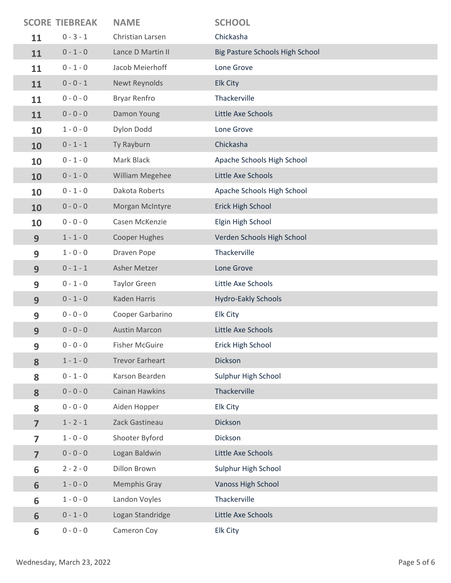|                | <b>SCORE TIEBREAK</b> | <b>NAME</b>            | <b>SCHOOL</b>                   |
|----------------|-----------------------|------------------------|---------------------------------|
| 11             | $0 - 3 - 1$           | Christian Larsen       | Chickasha                       |
| 11             | $0 - 1 - 0$           | Lance D Martin II      | Big Pasture Schools High School |
| 11             | $0 - 1 - 0$           | Jacob Meierhoff        | Lone Grove                      |
| 11             | $0 - 0 - 1$           | Newt Reynolds          | <b>Elk City</b>                 |
| 11             | $0 - 0 - 0$           | <b>Bryar Renfro</b>    | Thackerville                    |
| 11             | $0 - 0 - 0$           | Damon Young            | Little Axe Schools              |
| 10             | $1 - 0 - 0$           | Dylon Dodd             | Lone Grove                      |
| 10             | $0 - 1 - 1$           | Ty Rayburn             | Chickasha                       |
| 10             | $0 - 1 - 0$           | Mark Black             | Apache Schools High School      |
| 10             | $0 - 1 - 0$           | William Megehee        | Little Axe Schools              |
| 10             | $0 - 1 - 0$           | Dakota Roberts         | Apache Schools High School      |
| 10             | $0 - 0 - 0$           | Morgan McIntyre        | Erick High School               |
| 10             | $0 - 0 - 0$           | Casen McKenzie         | Elgin High School               |
| 9              | $1 - 1 - 0$           | Cooper Hughes          | Verden Schools High School      |
| 9              | $1 - 0 - 0$           | Draven Pope            | Thackerville                    |
| 9              | $0 - 1 - 1$           | Asher Metzer           | Lone Grove                      |
| 9              | $0 - 1 - 0$           | <b>Taylor Green</b>    | Little Axe Schools              |
| 9              | $0 - 1 - 0$           | <b>Kaden Harris</b>    | <b>Hydro-Eakly Schools</b>      |
| 9              | $0 - 0 - 0$           | Cooper Garbarino       | Elk City                        |
| 9              | $0 - 0 - 0$           | <b>Austin Marcon</b>   | Little Axe Schools              |
| 9              | $0 - 0 - 0$           | <b>Fisher McGuire</b>  | Erick High School               |
| 8              | $1 - 1 - 0$           | <b>Trevor Earheart</b> | Dickson                         |
| 8              | $0 - 1 - 0$           | Karson Bearden         | Sulphur High School             |
| 8              | $0 - 0 - 0$           | Cainan Hawkins         | Thackerville                    |
| 8              | $0 - 0 - 0$           | Aiden Hopper           | Elk City                        |
| $\overline{7}$ | $1 - 2 - 1$           | Zack Gastineau         | Dickson                         |
| $\overline{7}$ | $1 - 0 - 0$           | Shooter Byford         | Dickson                         |
| $\overline{7}$ | $0 - 0 - 0$           | Logan Baldwin          | Little Axe Schools              |
| 6              | $2 - 2 - 0$           | Dillon Brown           | Sulphur High School             |
| 6              | $1 - 0 - 0$           | <b>Memphis Gray</b>    | <b>Vanoss High School</b>       |
| 6              | $1 - 0 - 0$           | Landon Voyles          | Thackerville                    |
| 6              | $0 - 1 - 0$           | Logan Standridge       | Little Axe Schools              |
| 6              | $0 - 0 - 0$           | Cameron Coy            | Elk City                        |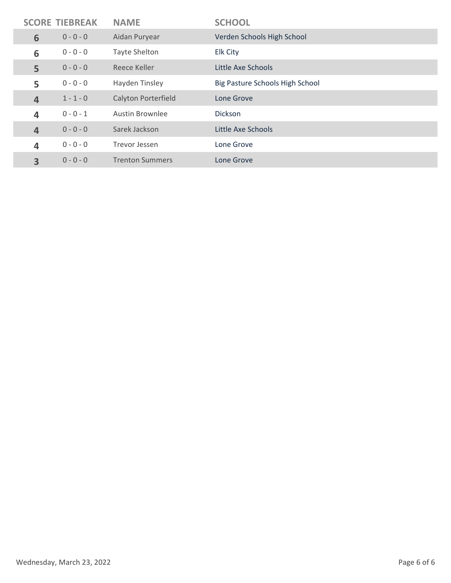| <b>SCORE TIEBREAK</b>   |             | <b>NAME</b>                | <b>SCHOOL</b>                   |
|-------------------------|-------------|----------------------------|---------------------------------|
| 6                       | $0 - 0 - 0$ | Aidan Puryear              | Verden Schools High School      |
| 6                       | $0 - 0 - 0$ | <b>Tayte Shelton</b>       | Elk City                        |
| 5                       | $0 - 0 - 0$ | Reece Keller               | Little Axe Schools              |
| 5                       | $0 - 0 - 0$ | Hayden Tinsley             | Big Pasture Schools High School |
| $\overline{4}$          | $1 - 1 - 0$ | <b>Calyton Porterfield</b> | Lone Grove                      |
| $\overline{\mathbf{4}}$ | $0 - 0 - 1$ | <b>Austin Brownlee</b>     | <b>Dickson</b>                  |
| 4                       | $0 - 0 - 0$ | Sarek Jackson              | Little Axe Schools              |
| 4                       | $0 - 0 - 0$ | Trevor Jessen              | Lone Grove                      |
| 3                       | $0 - 0 - 0$ | <b>Trenton Summers</b>     | Lone Grove                      |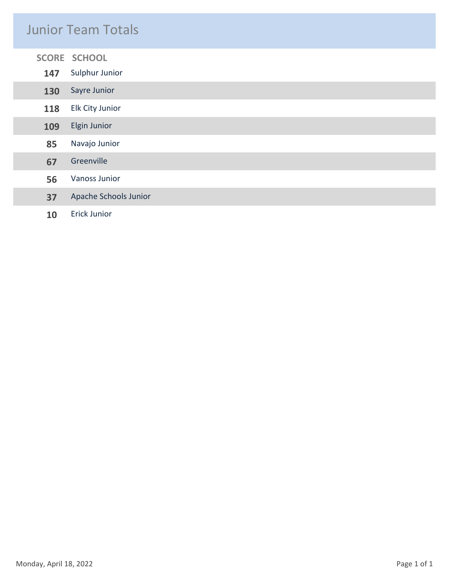#### Junior Team Totals

|  |               | SCORE SCHOOL          |
|--|---------------|-----------------------|
|  | 147           | Sulphur Junior        |
|  | 130           | Sayre Junior          |
|  | 118           | Elk City Junior       |
|  | 109           | <b>Elgin Junior</b>   |
|  | 85            | Navajo Junior         |
|  | 67            | Greenville            |
|  | Vanoss Junior |                       |
|  | 37            | Apache Schools Junior |
|  | 10            | <b>Erick Junior</b>   |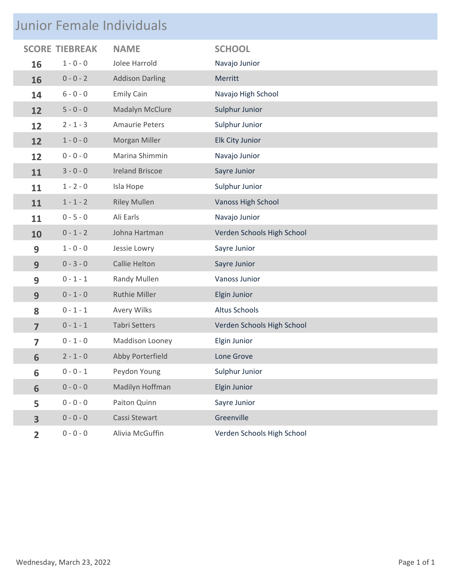## Junior Female Individuals

| <b>SCORE</b>   | <b>TIEBREAK</b> | <b>NAME</b>            | <b>SCHOOL</b>              |
|----------------|-----------------|------------------------|----------------------------|
| 16             | $1 - 0 - 0$     | Jolee Harrold          | Navajo Junior              |
| 16             | $0 - 0 - 2$     | <b>Addison Darling</b> | Merritt                    |
| 14             | $6 - 0 - 0$     | <b>Emily Cain</b>      | Navajo High School         |
| 12             | $5 - 0 - 0$     | Madalyn McClure        | Sulphur Junior             |
| 12             | $2 - 1 - 3$     | <b>Amaurie Peters</b>  | Sulphur Junior             |
| 12             | $1 - 0 - 0$     | Morgan Miller          | Elk City Junior            |
| 12             | $0 - 0 - 0$     | Marina Shimmin         | Navajo Junior              |
| 11             | $3 - 0 - 0$     | <b>Ireland Briscoe</b> | Sayre Junior               |
| 11             | $1 - 2 - 0$     | Isla Hope              | Sulphur Junior             |
| 11             | $1 - 1 - 2$     | <b>Riley Mullen</b>    | <b>Vanoss High School</b>  |
| 11             | $0 - 5 - 0$     | Ali Earls              | Navajo Junior              |
| 10             | $0 - 1 - 2$     | Johna Hartman          | Verden Schools High School |
| 9              | $1 - 0 - 0$     | Jessie Lowry           | Sayre Junior               |
| 9              | $0 - 3 - 0$     | Callie Helton          | Sayre Junior               |
| 9              | $0 - 1 - 1$     | Randy Mullen           | Vanoss Junior              |
| 9              | $0 - 1 - 0$     | <b>Ruthie Miller</b>   | Elgin Junior               |
| 8              | $0 - 1 - 1$     | Avery Wilks            | Altus Schools              |
| $\overline{7}$ | $0 - 1 - 1$     | <b>Tabri Setters</b>   | Verden Schools High School |
| 7              | $0 - 1 - 0$     | Maddison Looney        | Elgin Junior               |
| 6              | $2 - 1 - 0$     | Abby Porterfield       | Lone Grove                 |
| 6              | $0 - 0 - 1$     | Peydon Young           | Sulphur Junior             |
| 6              | $0 - 0 - 0$     | Madilyn Hoffman        | Elgin Junior               |
| 5              | $0 - 0 - 0$     | Paiton Quinn           | Sayre Junior               |
| 3              | $0 - 0 - 0$     | Cassi Stewart          | Greenville                 |
| $\overline{2}$ | $0 - 0 - 0$     | Alivia McGuffin        | Verden Schools High School |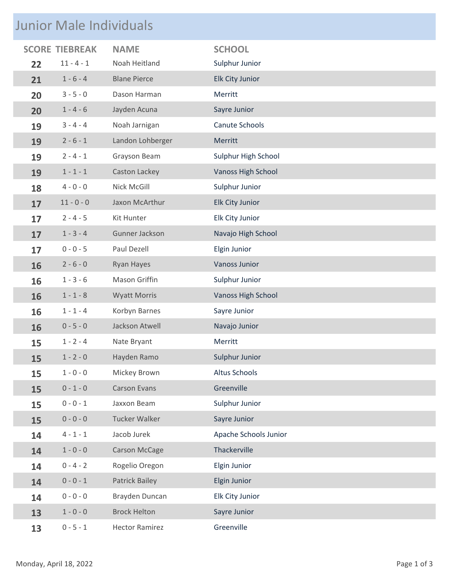### Junior Male Individuals

|    |              | <b>NAME</b>           | <b>SCHOOL</b>         |
|----|--------------|-----------------------|-----------------------|
| 22 | $11 - 4 - 1$ | Noah Heitland         | Sulphur Junior        |
| 21 | $1 - 6 - 4$  | <b>Blane Pierce</b>   | Elk City Junior       |
| 20 | $3 - 5 - 0$  | Dason Harman          | Merritt               |
| 20 | $1 - 4 - 6$  | Jayden Acuna          | Sayre Junior          |
| 19 | $3 - 4 - 4$  | Noah Jarnigan         | Canute Schools        |
| 19 | $2 - 6 - 1$  | Landon Lohberger      | Merritt               |
| 19 | $2 - 4 - 1$  | Grayson Beam          | Sulphur High School   |
| 19 | $1 - 1 - 1$  | Caston Lackey         | Vanoss High School    |
| 18 | $4 - 0 - 0$  | Nick McGill           | Sulphur Junior        |
| 17 | $11 - 0 - 0$ | Jaxon McArthur        | Elk City Junior       |
| 17 | $2 - 4 - 5$  | Kit Hunter            | Elk City Junior       |
| 17 | $1 - 3 - 4$  | Gunner Jackson        | Navajo High School    |
| 17 | $0 - 0 - 5$  | Paul Dezell           | Elgin Junior          |
| 16 | $2 - 6 - 0$  | Ryan Hayes            | <b>Vanoss Junior</b>  |
| 16 | $1 - 3 - 6$  | Mason Griffin         | Sulphur Junior        |
| 16 | $1 - 1 - 8$  | <b>Wyatt Morris</b>   | Vanoss High School    |
| 16 | $1 - 1 - 4$  | Korbyn Barnes         | Sayre Junior          |
| 16 | $0 - 5 - 0$  | Jackson Atwell        | Navajo Junior         |
| 15 | $1 - 2 - 4$  | Nate Bryant           | Merritt               |
| 15 | $1 - 2 - 0$  | Hayden Ramo           | Sulphur Junior        |
| 15 | $1 - 0 - 0$  | Mickey Brown          | Altus Schools         |
| 15 | $0 - 1 - 0$  | <b>Carson Evans</b>   | Greenville            |
| 15 | $0 - 0 - 1$  | Jaxxon Beam           | Sulphur Junior        |
| 15 | $0 - 0 - 0$  | <b>Tucker Walker</b>  | Sayre Junior          |
| 14 | $4 - 1 - 1$  | Jacob Jurek           | Apache Schools Junior |
| 14 | $1 - 0 - 0$  | Carson McCage         | Thackerville          |
| 14 | $0 - 4 - 2$  | Rogelio Oregon        | Elgin Junior          |
| 14 | $0 - 0 - 1$  | Patrick Bailey        | Elgin Junior          |
| 14 | $0 - 0 - 0$  | Brayden Duncan        | Elk City Junior       |
| 13 | $1 - 0 - 0$  | <b>Brock Helton</b>   | Sayre Junior          |
| 13 | $0 - 5 - 1$  | <b>Hector Ramirez</b> | Greenville            |
|    |              | <b>SCORE TIEBREAK</b> |                       |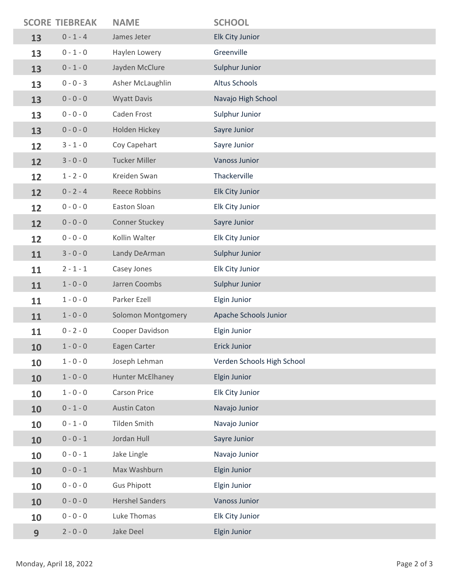|    | <b>SCORE TIEBREAK</b> | <b>NAME</b>               | <b>SCHOOL</b>              |
|----|-----------------------|---------------------------|----------------------------|
| 13 | $0 - 1 - 4$           | James Jeter               | Elk City Junior            |
| 13 | $0 - 1 - 0$           | Haylen Lowery             | Greenville                 |
| 13 | $0 - 1 - 0$           | Jayden McClure            | Sulphur Junior             |
| 13 | $0 - 0 - 3$           | Asher McLaughlin          | Altus Schools              |
| 13 | $0 - 0 - 0$           | <b>Wyatt Davis</b>        | Navajo High School         |
| 13 | $0 - 0 - 0$           | Caden Frost               | Sulphur Junior             |
| 13 | $0 - 0 - 0$           | Holden Hickey             | Sayre Junior               |
| 12 | $3 - 1 - 0$           | Coy Capehart              | Sayre Junior               |
| 12 | $3 - 0 - 0$           | <b>Tucker Miller</b>      | Vanoss Junior              |
| 12 | $1 - 2 - 0$           | Kreiden Swan              | Thackerville               |
| 12 | $0 - 2 - 4$           | <b>Reece Robbins</b>      | <b>Elk City Junior</b>     |
| 12 | $0 - 0 - 0$           | Easton Sloan              | Elk City Junior            |
| 12 | $0 - 0 - 0$           | Conner Stuckey            | Sayre Junior               |
| 12 | $0 - 0 - 0$           | Kollin Walter             | Elk City Junior            |
| 11 | $3 - 0 - 0$           | Landy DeArman             | Sulphur Junior             |
| 11 | $2 - 1 - 1$           | Casey Jones               | Elk City Junior            |
| 11 | $1 - 0 - 0$           | Jarren Coombs             | Sulphur Junior             |
| 11 | $1 - 0 - 0$           | Parker Ezell              | Elgin Junior               |
| 11 | $1 - 0 - 0$           | <b>Solomon Montgomery</b> | Apache Schools Junior      |
| 11 | $0 - 2 - 0$           | Cooper Davidson           | Elgin Junior               |
| 10 | $1 - 0 - 0$           | Eagen Carter              | Erick Junior               |
| 10 | $1 - 0 - 0$           | Joseph Lehman             | Verden Schools High School |
| 10 | $1 - 0 - 0$           | Hunter McElhaney          | Elgin Junior               |
| 10 | $1 - 0 - 0$           | <b>Carson Price</b>       | Elk City Junior            |
| 10 | $0 - 1 - 0$           | <b>Austin Caton</b>       | Navajo Junior              |
| 10 | $0 - 1 - 0$           | Tilden Smith              | Navajo Junior              |
| 10 | $0 - 0 - 1$           | Jordan Hull               | Sayre Junior               |
| 10 | $0 - 0 - 1$           | Jake Lingle               | Navajo Junior              |
| 10 | $0 - 0 - 1$           | Max Washburn              | Elgin Junior               |
| 10 | $0 - 0 - 0$           | <b>Gus Phipott</b>        | Elgin Junior               |
| 10 | $0 - 0 - 0$           | <b>Hershel Sanders</b>    | <b>Vanoss Junior</b>       |
| 10 | $0 - 0 - 0$           | Luke Thomas               | Elk City Junior            |
| 9  | $2 - 0 - 0$           | Jake Deel                 | Elgin Junior               |